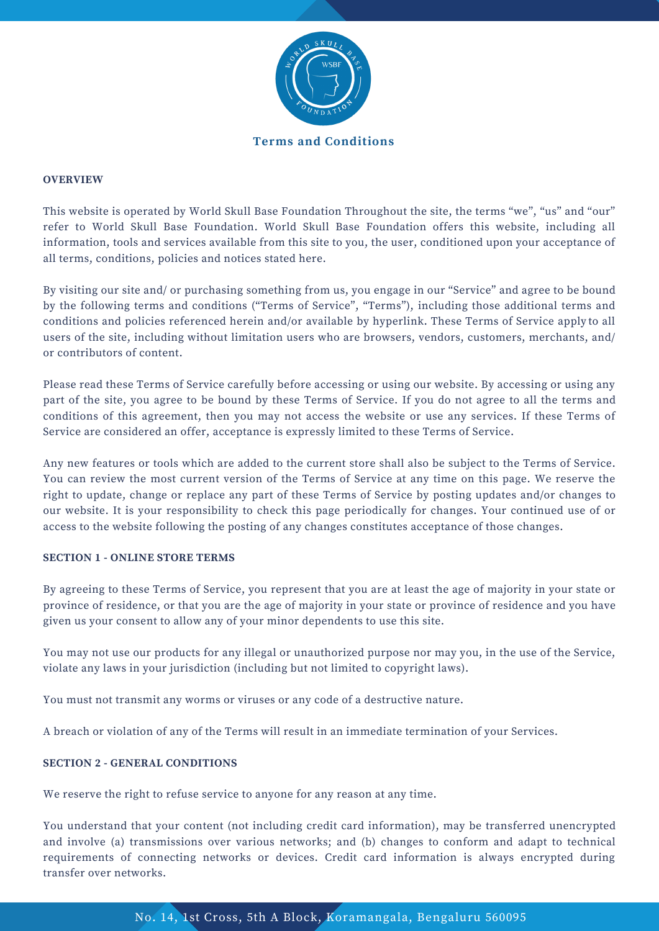

### **OVERVIEW**

This website is operated by World Skull Base Foundation Throughout the site, the terms "we", "us" and "our" refer to World Skull Base Foundation. World Skull Base Foundation offers this website, including all information, tools and services available from this site to you, the user, conditioned upon your acceptance of all terms, conditions, policies and notices stated here.

By visiting our site and/ or purchasing something from us, you engage in our "Service" and agree to be bound by the following terms and conditions ("Terms of Service", "Terms"), including those additional terms and conditions and policies referenced herein and/or available by hyperlink. These Terms of Service apply to all users of the site, including without limitation users who are browsers, vendors, customers, merchants, and/ or contributors of content.

Please read these Terms of Service carefully before accessing or using our website. By accessing or using any part of the site, you agree to be bound by these Terms of Service. If you do not agree to all the terms and conditions of this agreement, then you may not access the website or use any services. If these Terms of Service are considered an offer, acceptance is expressly limited to these Terms of Service.

Any new features or tools which are added to the current store shall also be subject to the Terms of Service. You can review the most current version of the Terms of Service at any time on this page. We reserve the right to update, change or replace any part of these Terms of Service by posting updates and/or changes to our website. It is your responsibility to check this page periodically for changes. Your continued use of or access to the website following the posting of any changes constitutes acceptance of those changes.

### **SECTION 1 - ONLINE STORE TERMS**

By agreeing to these Terms of Service, you represent that you are at least the age of majority in your state or province of residence, or that you are the age of majority in your state or province of residence and you have given us your consent to allow any of your minor dependents to use this site.

You may not use our products for any illegal or unauthorized purpose nor may you, in the use of the Service, violate any laws in your jurisdiction (including but not limited to copyright laws).

You must not transmit any worms or viruses or any code of a destructive nature.

A breach or violation of any of the Terms will result in an immediate termination of your Services.

### **SECTION 2 - GENERAL CONDITIONS**

We reserve the right to refuse service to anyone for any reason at any time.

You understand that your content (not including credit card information), may be transferred unencrypted and involve (a) transmissions over various networks; and (b) changes to conform and adapt to technical requirements of connecting networks or devices. Credit card information is always encrypted during transfer over networks.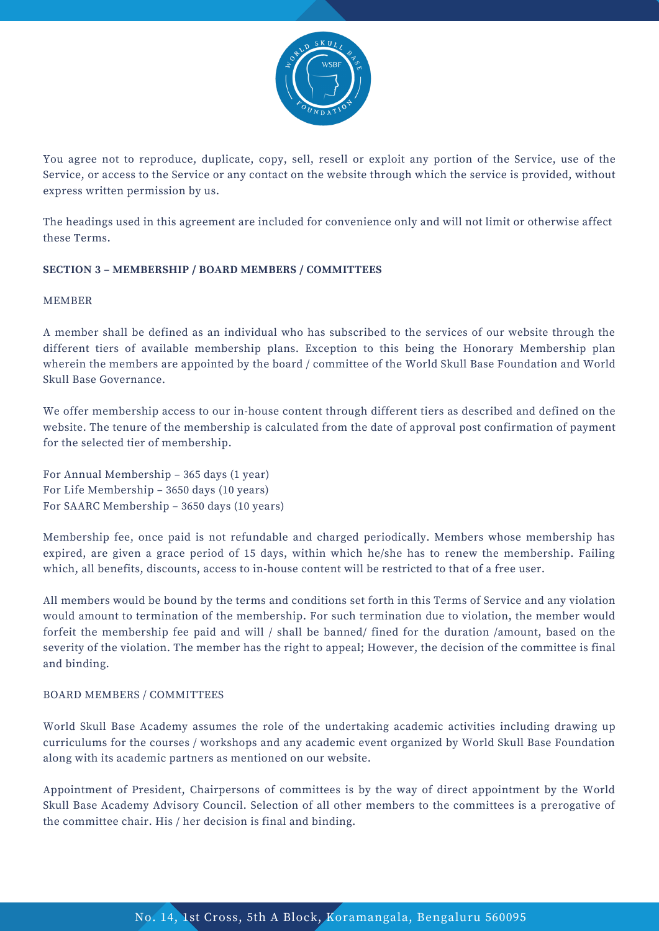

You agree not to reproduce, duplicate, copy, sell, resell or exploit any portion of the Service, use of the Service, or access to the Service or any contact on the website through which the service is provided, without express written permission by us.

The headings used in this agreement are included for convenience only and will not limit or otherwise affect these Terms.

# **SECTION 3 – MEMBERSHIP / BOARD MEMBERS / COMMITTEES**

### MEMBER

A member shall be defined as an individual who has subscribed to the services of our website through the different tiers of available membership plans. Exception to this being the Honorary Membership plan wherein the members are appointed by the board / committee of the World Skull Base Foundation and World Skull Base Governance.

We offer membership access to our in-house content through different tiers as described and defined on the website. The tenure of the membership is calculated from the date of approval post confirmation of payment for the selected tier of membership.

For Annual Membership – 365 days (1 year) For Life Membership – 3650 days (10 years) For SAARC Membership – 3650 days (10 years)

Membership fee, once paid is not refundable and charged periodically. Members whose membership has expired, are given a grace period of 15 days, within which he/she has to renew the membership. Failing which, all benefits, discounts, access to in-house content will be restricted to that of a free user.

All members would be bound by the terms and conditions set forth in this Terms of Service and any violation would amount to termination of the membership. For such termination due to violation, the member would forfeit the membership fee paid and will / shall be banned/ fined for the duration /amount, based on the severity of the violation. The member has the right to appeal; However, the decision of the committee is final and binding.

### BOARD MEMBERS / COMMITTEES

World Skull Base Academy assumes the role of the undertaking academic activities including drawing up curriculums for the courses / workshops and any academic event organized by World Skull Base Foundation along with its academic partners as mentioned on our website.

Appointment of President, Chairpersons of committees is by the way of direct appointment by the World Skull Base Academy Advisory Council. Selection of all other members to the committees is a prerogative of the committee chair. His / her decision is final and binding.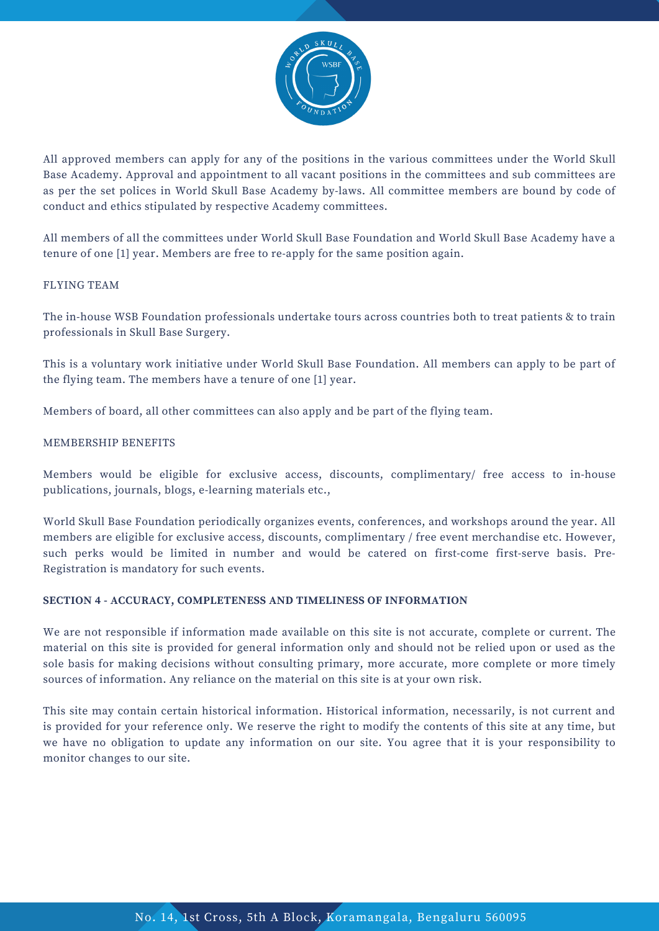

All approved members can apply for any of the positions in the various committees under the World Skull Base Academy. Approval and appointment to all vacant positions in the committees and sub committees are as per the set polices in World Skull Base Academy by-laws. All committee members are bound by code of conduct and ethics stipulated by respective Academy committees.

All members of all the committees under World Skull Base Foundation and World Skull Base Academy have a tenure of one [1] year. Members are free to re-apply for the same position again.

### FLYING TEAM

The in-house WSB Foundation professionals undertake tours across countries both to treat patients & to train professionals in Skull Base Surgery.

This is a voluntary work initiative under World Skull Base Foundation. All members can apply to be part of the flying team. The members have a tenure of one [1] year.

Members of board, all other committees can also apply and be part of the flying team.

# MEMBERSHIP BENEFITS

Members would be eligible for exclusive access, discounts, complimentary/ free access to in-house publications, journals, blogs, e-learning materials etc.,

World Skull Base Foundation periodically organizes events, conferences, and workshops around the year. All members are eligible for exclusive access, discounts, complimentary / free event merchandise etc. However, such perks would be limited in number and would be catered on first-come first-serve basis. Pre-Registration is mandatory for such events.

### **SECTION 4 - ACCURACY, COMPLETENESS AND TIMELINESS OF INFORMATION**

We are not responsible if information made available on this site is not accurate, complete or current. The material on this site is provided for general information only and should not be relied upon or used as the sole basis for making decisions without consulting primary, more accurate, more complete or more timely sources of information. Any reliance on the material on this site is at your own risk.

This site may contain certain historical information. Historical information, necessarily, is not current and is provided for your reference only. We reserve the right to modify the contents of this site at any time, but we have no obligation to update any information on our site. You agree that it is your responsibility to monitor changes to our site.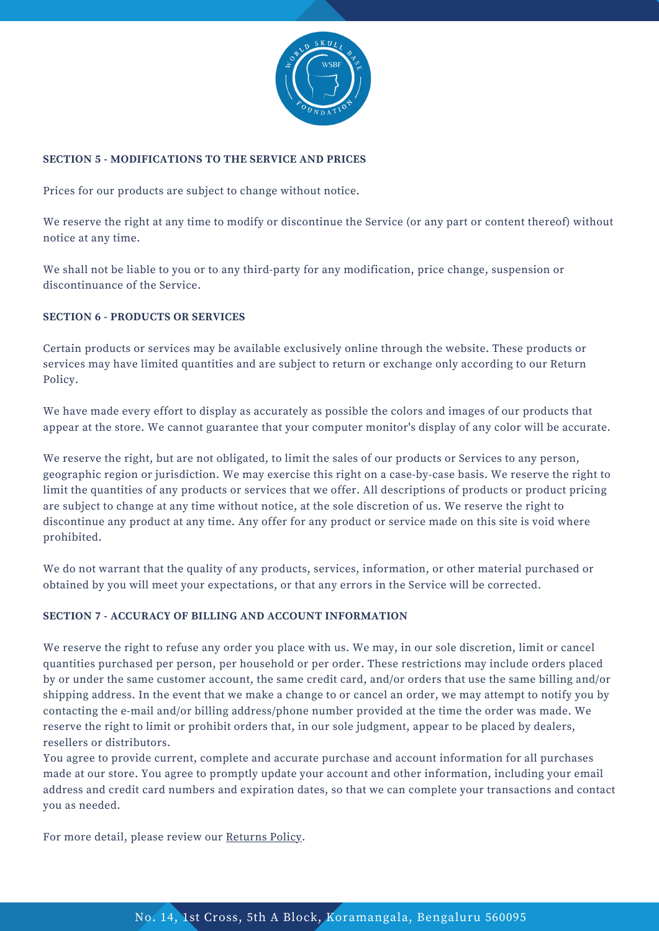

# **SECTION 5 - MODIFICATIONS TO THE SERVICE AND PRICES**

Prices for our products are subject to change without notice.

We reserve the right at any time to modify or discontinue the Service (or any part or content thereof) without notice at any time.

We shall not be liable to you or to any third-party for any modification, price change, suspension or discontinuance of the Service.

# **SECTION 6 - PRODUCTS OR SERVICES**

Certain products or services may be available exclusively online through the website. These products or services may have limited quantities and are subject to return or exchange only according to our Return Policy.

We have made every effort to display as accurately as possible the colors and images of our products that appear at the store. We cannot guarantee that your computer monitor's display of any color will be accurate.

We reserve the right, but are not obligated, to limit the sales of our products or Services to any person, geographic region or jurisdiction. We may exercise this right on a case-by-case basis. We reserve the right to limit the quantities of any products or services that we offer. All descriptions of products or product pricing are subject to change at any time without notice, at the sole discretion of us. We reserve the right to discontinue any product at any time. Any offer for any product or service made on this site is void where prohibited.

We do not warrant that the quality of any products, services, information, or other material purchased or obtained by you will meet your expectations, or that any errors in the Service will be corrected.

# **SECTION 7 - ACCURACY OF BILLING AND ACCOUNT INFORMATION**

We reserve the right to refuse any order you place with us. We may, in our sole discretion, limit or cancel quantities purchased per person, per household or per order. These restrictions may include orders placed by or under the same customer account, the same credit card, and/or orders that use the same billing and/or shipping address. In the event that we make a change to or cancel an order, we may attempt to notify you by contacting the e-mail and/or billing address/phone number provided at the time the order was made. We reserve the right to limit or prohibit orders that, in our sole judgment, appear to be placed by dealers, resellers or distributors.

You agree to provide current, complete and accurate purchase and account information for all purchases made at our store. You agree to promptly update your account and other information, including your email address and credit card numbers and expiration dates, so that we can complete your transactions and contact you as needed.

For more detail, please review our [Returns](https://wsb-foundation.org/pdf/frontend/policy/WSBF%20%20Website%20Refund%20Policy.pdf) Policy.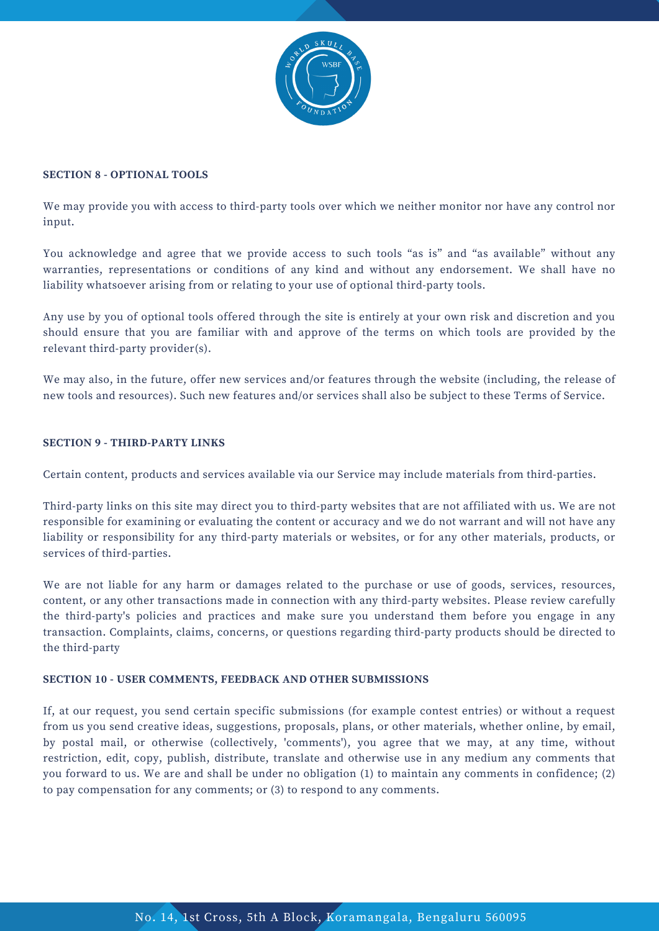

#### **SECTION 8 - OPTIONAL TOOLS**

We may provide you with access to third-party tools over which we neither monitor nor have any control nor input.

You acknowledge and agree that we provide access to such tools "as is" and "as available" without any warranties, representations or conditions of any kind and without any endorsement. We shall have no liability whatsoever arising from or relating to your use of optional third-party tools.

Any use by you of optional tools offered through the site is entirely at your own risk and discretion and you should ensure that you are familiar with and approve of the terms on which tools are provided by the relevant third-party provider(s).

We may also, in the future, offer new services and/or features through the website (including, the release of new tools and resources). Such new features and/or services shall also be subject to these Terms of Service.

### **SECTION 9 - THIRD-PARTY LINKS**

Certain content, products and services available via our Service may include materials from third-parties.

Third-party links on this site may direct you to third-party websites that are not affiliated with us. We are not responsible for examining or evaluating the content or accuracy and we do not warrant and will not have any liability or responsibility for any third-party materials or websites, or for any other materials, products, or services of third-parties.

We are not liable for any harm or damages related to the purchase or use of goods, services, resources, content, or any other transactions made in connection with any third-party websites. Please review carefully the third-party's policies and practices and make sure you understand them before you engage in any transaction. Complaints, claims, concerns, or questions regarding third-party products should be directed to the third-party

### **SECTION 10 - USER COMMENTS, FEEDBACK AND OTHER SUBMISSIONS**

If, at our request, you send certain specific submissions (for example contest entries) or without a request from us you send creative ideas, suggestions, proposals, plans, or other materials, whether online, by email, by postal mail, or otherwise (collectively, 'comments'), you agree that we may, at any time, without restriction, edit, copy, publish, distribute, translate and otherwise use in any medium any comments that you forward to us. We are and shall be under no obligation (1) to maintain any comments in confidence; (2) to pay compensation for any comments; or (3) to respond to any comments.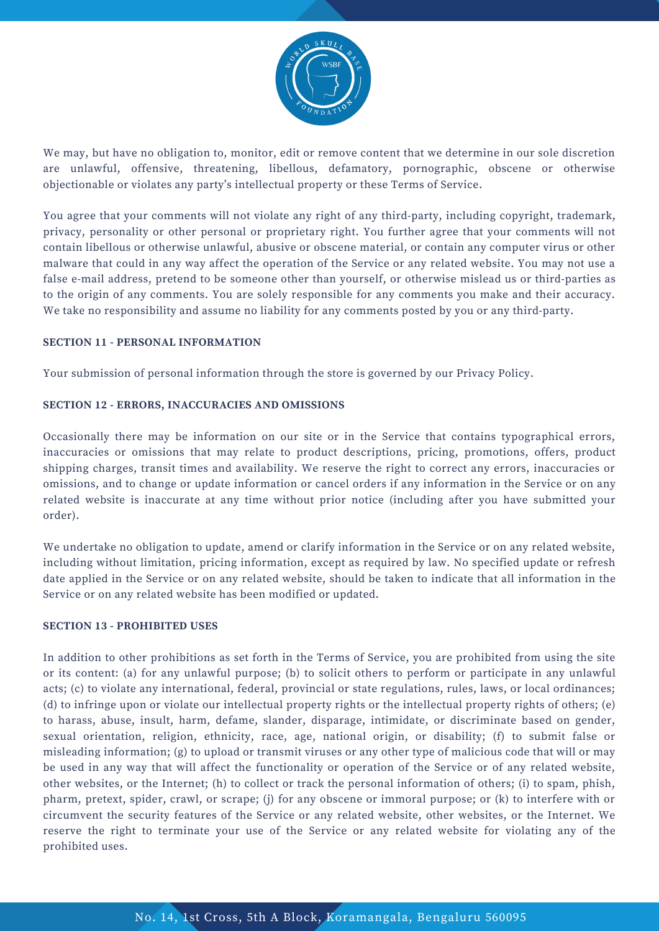

We may, but have no obligation to, monitor, edit or remove content that we determine in our sole discretion are unlawful, offensive, threatening, libellous, defamatory, pornographic, obscene or otherwise objectionable or violates any party's intellectual property or these Terms of Service.

You agree that your comments will not violate any right of any third-party, including copyright, trademark, privacy, personality or other personal or proprietary right. You further agree that your comments will not contain libellous or otherwise unlawful, abusive or obscene material, or contain any computer virus or other malware that could in any way affect the operation of the Service or any related website. You may not use a false e-mail address, pretend to be someone other than yourself, or otherwise mislead us or third-parties as to the origin of any comments. You are solely responsible for any comments you make and their accuracy. We take no responsibility and assume no liability for any comments posted by you or any third-party.

### **SECTION 11 - PERSONAL INFORMATION**

Your submission of personal information through the store is governed by our Privacy Policy.

### **SECTION 12 - ERRORS, INACCURACIES AND OMISSIONS**

Occasionally there may be information on our site or in the Service that contains typographical errors, inaccuracies or omissions that may relate to product descriptions, pricing, promotions, offers, product shipping charges, transit times and availability. We reserve the right to correct any errors, inaccuracies or omissions, and to change or update information or cancel orders if any information in the Service or on any related website is inaccurate at any time without prior notice (including after you have submitted your order).

We undertake no obligation to update, amend or clarify information in the Service or on any related website, including without limitation, pricing information, except as required by law. No specified update or refresh date applied in the Service or on any related website, should be taken to indicate that all information in the Service or on any related website has been modified or updated.

#### **SECTION 13 - PROHIBITED USES**

In addition to other prohibitions as set forth in the Terms of Service, you are prohibited from using the site or its content: (a) for any unlawful purpose; (b) to solicit others to perform or participate in any unlawful acts; (c) to violate any international, federal, provincial or state regulations, rules, laws, or local ordinances; (d) to infringe upon or violate our intellectual property rights or the intellectual property rights of others; (e) to harass, abuse, insult, harm, defame, slander, disparage, intimidate, or discriminate based on gender, sexual orientation, religion, ethnicity, race, age, national origin, or disability; (f) to submit false or misleading information; (g) to upload or transmit viruses or any other type of malicious code that will or may be used in any way that will affect the functionality or operation of the Service or of any related website, other websites, or the Internet; (h) to collect or track the personal information of others; (i) to spam, phish, pharm, pretext, spider, crawl, or scrape; (j) for any obscene or immoral purpose; or (k) to interfere with or circumvent the security features of the Service or any related website, other websites, or the Internet. We reserve the right to terminate your use of the Service or any related website for violating any of the prohibited uses.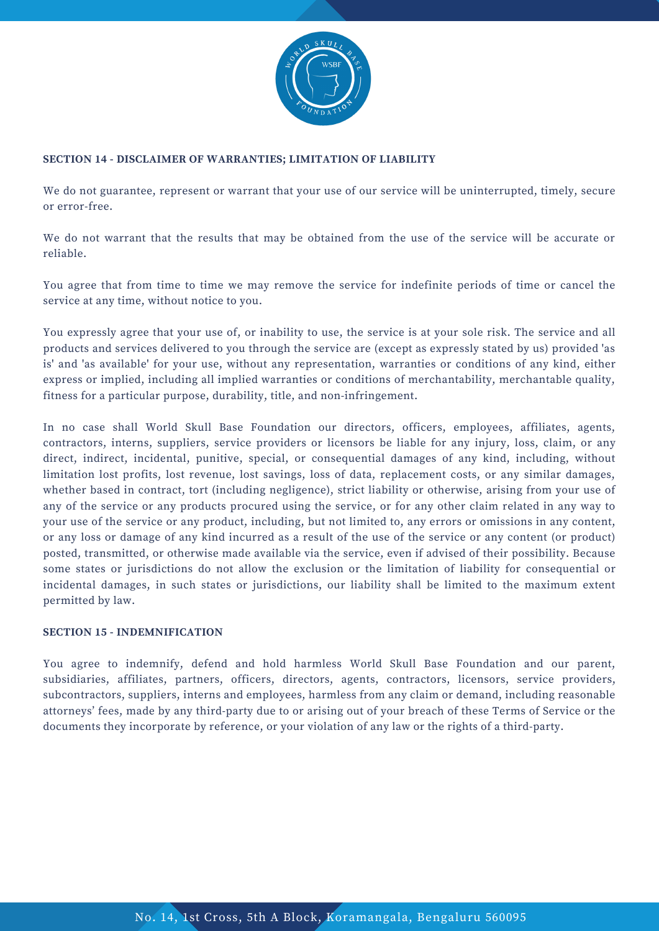

# **SECTION 14 - DISCLAIMER OF WARRANTIES; LIMITATION OF LIABILITY**

We do not guarantee, represent or warrant that your use of our service will be uninterrupted, timely, secure or error-free.

We do not warrant that the results that may be obtained from the use of the service will be accurate or reliable.

You agree that from time to time we may remove the service for indefinite periods of time or cancel the service at any time, without notice to you.

You expressly agree that your use of, or inability to use, the service is at your sole risk. The service and all products and services delivered to you through the service are (except as expressly stated by us) provided 'as is' and 'as available' for your use, without any representation, warranties or conditions of any kind, either express or implied, including all implied warranties or conditions of merchantability, merchantable quality, fitness for a particular purpose, durability, title, and non-infringement.

In no case shall World Skull Base Foundation our directors, officers, employees, affiliates, agents, contractors, interns, suppliers, service providers or licensors be liable for any injury, loss, claim, or any direct, indirect, incidental, punitive, special, or consequential damages of any kind, including, without limitation lost profits, lost revenue, lost savings, loss of data, replacement costs, or any similar damages, whether based in contract, tort (including negligence), strict liability or otherwise, arising from your use of any of the service or any products procured using the service, or for any other claim related in any way to your use of the service or any product, including, but not limited to, any errors or omissions in any content, or any loss or damage of any kind incurred as a result of the use of the service or any content (or product) posted, transmitted, or otherwise made available via the service, even if advised of their possibility. Because some states or jurisdictions do not allow the exclusion or the limitation of liability for consequential or incidental damages, in such states or jurisdictions, our liability shall be limited to the maximum extent permitted by law.

### **SECTION 15 - INDEMNIFICATION**

You agree to indemnify, defend and hold harmless World Skull Base Foundation and our parent, subsidiaries, affiliates, partners, officers, directors, agents, contractors, licensors, service providers, subcontractors, suppliers, interns and employees, harmless from any claim or demand, including reasonable attorneys' fees, made by any third-party due to or arising out of your breach of these Terms of Service or the documents they incorporate by reference, or your violation of any law or the rights of a third-party.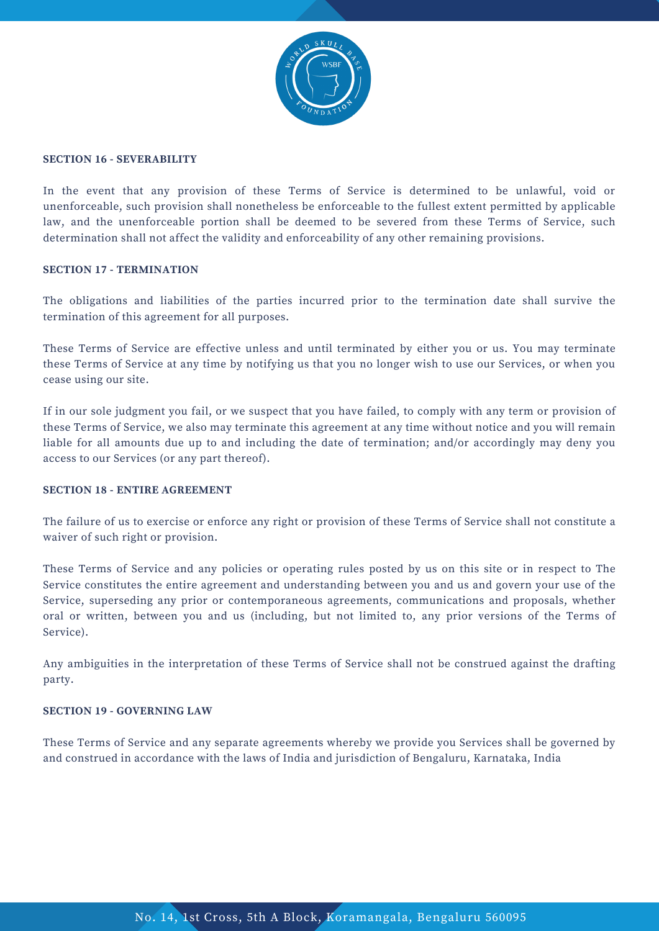

#### **SECTION 16 - SEVERABILITY**

In the event that any provision of these Terms of Service is determined to be unlawful, void or unenforceable, such provision shall nonetheless be enforceable to the fullest extent permitted by applicable law, and the unenforceable portion shall be deemed to be severed from these Terms of Service, such determination shall not affect the validity and enforceability of any other remaining provisions.

#### **SECTION 17 - TERMINATION**

The obligations and liabilities of the parties incurred prior to the termination date shall survive the termination of this agreement for all purposes.

These Terms of Service are effective unless and until terminated by either you or us. You may terminate these Terms of Service at any time by notifying us that you no longer wish to use our Services, or when you cease using our site.

If in our sole judgment you fail, or we suspect that you have failed, to comply with any term or provision of these Terms of Service, we also may terminate this agreement at any time without notice and you will remain liable for all amounts due up to and including the date of termination; and/or accordingly may deny you access to our Services (or any part thereof).

#### **SECTION 18 - ENTIRE AGREEMENT**

The failure of us to exercise or enforce any right or provision of these Terms of Service shall not constitute a waiver of such right or provision.

These Terms of Service and any policies or operating rules posted by us on this site or in respect to The Service constitutes the entire agreement and understanding between you and us and govern your use of the Service, superseding any prior or contemporaneous agreements, communications and proposals, whether oral or written, between you and us (including, but not limited to, any prior versions of the Terms of Service).

Any ambiguities in the interpretation of these Terms of Service shall not be construed against the drafting party.

#### **SECTION 19 - GOVERNING LAW**

These Terms of Service and any separate agreements whereby we provide you Services shall be governed by and construed in accordance with the laws of India and jurisdiction of Bengaluru, Karnataka, India